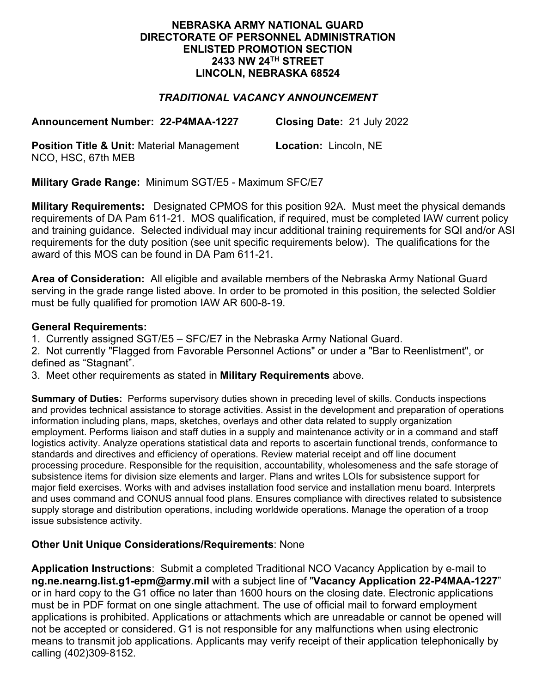#### **NEBRASKA ARMY NATIONAL GUARD DIRECTORATE OF PERSONNEL ADMINISTRATION ENLISTED PROMOTION SECTION 2433 NW 24TH STREET LINCOLN, NEBRASKA 68524**

# *TRADITIONAL VACANCY ANNOUNCEMENT*

**Announcement Number: 22-P4MAA-1227 Closing Date:** 21 July 2022

**Position Title & Unit:** Material Management NCO, HSC, 67th MEB

**Location:** Lincoln, NE

**Military Grade Range:** Minimum SGT/E5 - Maximum SFC/E7

**Military Requirements:** Designated CPMOS for this position 92A. Must meet the physical demands requirements of DA Pam 611-21. MOS qualification, if required, must be completed IAW current policy and training guidance. Selected individual may incur additional training requirements for SQI and/or ASI requirements for the duty position (see unit specific requirements below). The qualifications for the award of this MOS can be found in DA Pam 611-21.

**Area of Consideration:** All eligible and available members of the Nebraska Army National Guard serving in the grade range listed above. In order to be promoted in this position, the selected Soldier must be fully qualified for promotion IAW AR 600-8-19.

## **General Requirements:**

1. Currently assigned SGT/E5 – SFC/E7 in the Nebraska Army National Guard.

2. Not currently "Flagged from Favorable Personnel Actions" or under a "Bar to Reenlistment", or defined as "Stagnant".

3. Meet other requirements as stated in **Military Requirements** above.

**Summary of Duties:** Performs supervisory duties shown in preceding level of skills. Conducts inspections and provides technical assistance to storage activities. Assist in the development and preparation of operations information including plans, maps, sketches, overlays and other data related to supply organization employment. Performs liaison and staff duties in a supply and maintenance activity or in a command and staff logistics activity. Analyze operations statistical data and reports to ascertain functional trends, conformance to standards and directives and efficiency of operations. Review material receipt and off line document processing procedure. Responsible for the requisition, accountability, wholesomeness and the safe storage of subsistence items for division size elements and larger. Plans and writes LOIs for subsistence support for major field exercises. Works with and advises installation food service and installation menu board. Interprets and uses command and CONUS annual food plans. Ensures compliance with directives related to subsistence supply storage and distribution operations, including worldwide operations. Manage the operation of a troop issue subsistence activity.

## **Other Unit Unique Considerations/Requirements**: None

**Application Instructions**: Submit a completed Traditional NCO Vacancy Application by e-mail to **ng.ne.nearng.list.g1-epm@army.mil** with a subject line of "**Vacancy Application 22-P4MAA-1227**" or in hard copy to the G1 office no later than 1600 hours on the closing date. Electronic applications must be in PDF format on one single attachment. The use of official mail to forward employment applications is prohibited. Applications or attachments which are unreadable or cannot be opened will not be accepted or considered. G1 is not responsible for any malfunctions when using electronic means to transmit job applications. Applicants may verify receipt of their application telephonically by calling (402)309-8152.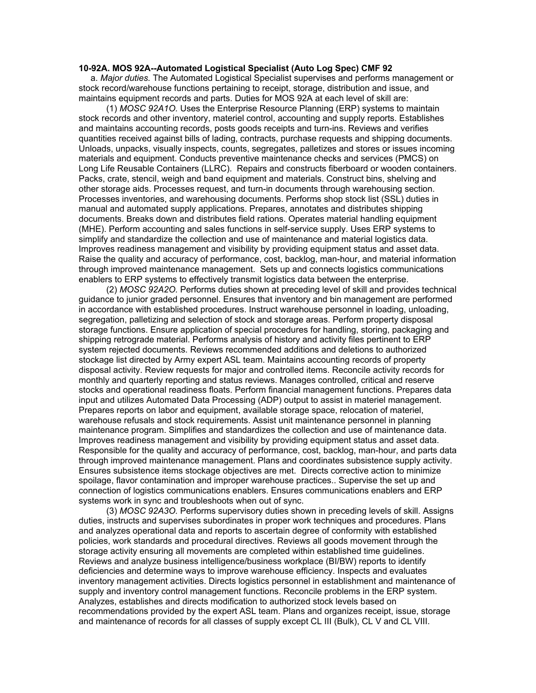#### **10-92A. MOS 92A--Automated Logistical Specialist (Auto Log Spec) CMF 92**

 a. *Major duties.* The Automated Logistical Specialist supervises and performs management or stock record/warehouse functions pertaining to receipt, storage, distribution and issue, and maintains equipment records and parts. Duties for MOS 92A at each level of skill are:

 (1) *MOSC 92A1O.* Uses the Enterprise Resource Planning (ERP) systems to maintain stock records and other inventory, materiel control, accounting and supply reports. Establishes and maintains accounting records, posts goods receipts and turn-ins. Reviews and verifies quantities received against bills of lading, contracts, purchase requests and shipping documents. Unloads, unpacks, visually inspects, counts, segregates, palletizes and stores or issues incoming materials and equipment. Conducts preventive maintenance checks and services (PMCS) on Long Life Reusable Containers (LLRC). Repairs and constructs fiberboard or wooden containers. Packs, crate, stencil, weigh and band equipment and materials. Construct bins, shelving and other storage aids. Processes request, and turn-in documents through warehousing section. Processes inventories, and warehousing documents. Performs shop stock list (SSL) duties in manual and automated supply applications. Prepares, annotates and distributes shipping documents. Breaks down and distributes field rations. Operates material handling equipment (MHE). Perform accounting and sales functions in self-service supply. Uses ERP systems to simplify and standardize the collection and use of maintenance and material logistics data. Improves readiness management and visibility by providing equipment status and asset data. Raise the quality and accuracy of performance, cost, backlog, man-hour, and material information through improved maintenance management. Sets up and connects logistics communications enablers to ERP systems to effectively transmit logistics data between the enterprise.

 (2) *MOSC 92A2O.* Performs duties shown at preceding level of skill and provides technical guidance to junior graded personnel. Ensures that inventory and bin management are performed in accordance with established procedures. Instruct warehouse personnel in loading, unloading, segregation, palletizing and selection of stock and storage areas. Perform property disposal storage functions. Ensure application of special procedures for handling, storing, packaging and shipping retrograde material. Performs analysis of history and activity files pertinent to ERP system rejected documents. Reviews recommended additions and deletions to authorized stockage list directed by Army expert ASL team. Maintains accounting records of property disposal activity. Review requests for major and controlled items. Reconcile activity records for monthly and quarterly reporting and status reviews. Manages controlled, critical and reserve stocks and operational readiness floats. Perform financial management functions. Prepares data input and utilizes Automated Data Processing (ADP) output to assist in materiel management. Prepares reports on labor and equipment, available storage space, relocation of materiel, warehouse refusals and stock requirements. Assist unit maintenance personnel in planning maintenance program. Simplifies and standardizes the collection and use of maintenance data. Improves readiness management and visibility by providing equipment status and asset data. Responsible for the quality and accuracy of performance, cost, backlog, man-hour, and parts data through improved maintenance management. Plans and coordinates subsistence supply activity. Ensures subsistence items stockage objectives are met. Directs corrective action to minimize spoilage, flavor contamination and improper warehouse practices.. Supervise the set up and connection of logistics communications enablers. Ensures communications enablers and ERP systems work in sync and troubleshoots when out of sync.

 (3) *MOSC 92A3O.* Performs supervisory duties shown in preceding levels of skill. Assigns duties, instructs and supervises subordinates in proper work techniques and procedures. Plans and analyzes operational data and reports to ascertain degree of conformity with established policies, work standards and procedural directives. Reviews all goods movement through the storage activity ensuring all movements are completed within established time guidelines. Reviews and analyze business intelligence/business workplace (BI/BW) reports to identify deficiencies and determine ways to improve warehouse efficiency. Inspects and evaluates inventory management activities. Directs logistics personnel in establishment and maintenance of supply and inventory control management functions. Reconcile problems in the ERP system. Analyzes, establishes and directs modification to authorized stock levels based on recommendations provided by the expert ASL team. Plans and organizes receipt, issue, storage and maintenance of records for all classes of supply except CL III (Bulk), CL V and CL VIII.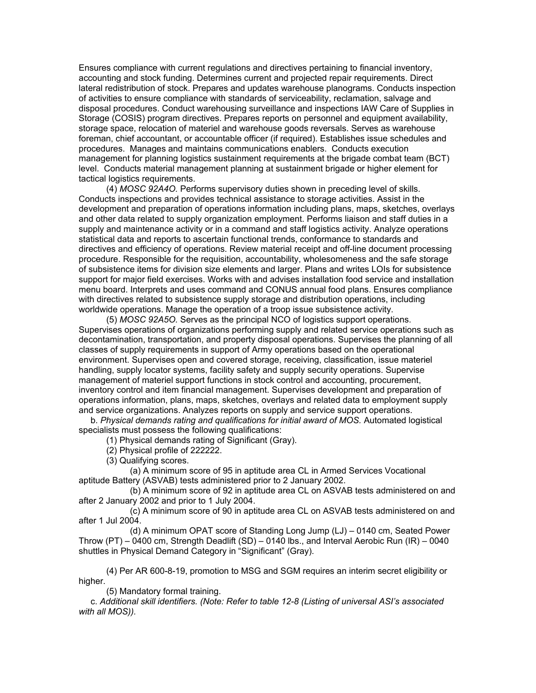Ensures compliance with current regulations and directives pertaining to financial inventory, accounting and stock funding. Determines current and projected repair requirements. Direct lateral redistribution of stock. Prepares and updates warehouse planograms. Conducts inspection of activities to ensure compliance with standards of serviceability, reclamation, salvage and disposal procedures. Conduct warehousing surveillance and inspections IAW Care of Supplies in Storage (COSIS) program directives. Prepares reports on personnel and equipment availability, storage space, relocation of materiel and warehouse goods reversals. Serves as warehouse foreman, chief accountant, or accountable officer (if required). Establishes issue schedules and procedures. Manages and maintains communications enablers. Conducts execution management for planning logistics sustainment requirements at the brigade combat team (BCT) level. Conducts material management planning at sustainment brigade or higher element for tactical logistics requirements.

 (4) *MOSC 92A4O.* Performs supervisory duties shown in preceding level of skills. Conducts inspections and provides technical assistance to storage activities. Assist in the development and preparation of operations information including plans, maps, sketches, overlays and other data related to supply organization employment. Performs liaison and staff duties in a supply and maintenance activity or in a command and staff logistics activity. Analyze operations statistical data and reports to ascertain functional trends, conformance to standards and directives and efficiency of operations. Review material receipt and off-line document processing procedure. Responsible for the requisition, accountability, wholesomeness and the safe storage of subsistence items for division size elements and larger. Plans and writes LOIs for subsistence support for major field exercises. Works with and advises installation food service and installation menu board. Interprets and uses command and CONUS annual food plans. Ensures compliance with directives related to subsistence supply storage and distribution operations, including worldwide operations. Manage the operation of a troop issue subsistence activity.

 (5) *MOSC 92A5O.* Serves as the principal NCO of logistics support operations. Supervises operations of organizations performing supply and related service operations such as decontamination, transportation, and property disposal operations. Supervises the planning of all classes of supply requirements in support of Army operations based on the operational environment. Supervises open and covered storage, receiving, classification, issue materiel handling, supply locator systems, facility safety and supply security operations. Supervise management of materiel support functions in stock control and accounting, procurement, inventory control and item financial management. Supervises development and preparation of operations information, plans, maps, sketches, overlays and related data to employment supply and service organizations. Analyzes reports on supply and service support operations.

 b. *Physical demands rating and qualifications for initial award of MOS.* Automated logistical specialists must possess the following qualifications:

(1) Physical demands rating of Significant (Gray).

(2) Physical profile of 222222.

(3) Qualifying scores.

 (a) A minimum score of 95 in aptitude area CL in Armed Services Vocational aptitude Battery (ASVAB) tests administered prior to 2 January 2002.

 (b) A minimum score of 92 in aptitude area CL on ASVAB tests administered on and after 2 January 2002 and prior to 1 July 2004.

 (c) A minimum score of 90 in aptitude area CL on ASVAB tests administered on and after 1 Jul 2004.

 (d) A minimum OPAT score of Standing Long Jump (LJ) – 0140 cm, Seated Power Throw (PT) – 0400 cm, Strength Deadlift (SD) – 0140 lbs., and Interval Aerobic Run (IR) – 0040 shuttles in Physical Demand Category in "Significant" (Gray).

 (4) Per AR 600-8-19, promotion to MSG and SGM requires an interim secret eligibility or higher.

(5) Mandatory formal training.

 c. *Additional skill identifiers. (Note: Refer to table 12-8 (Listing of universal ASI's associated with all MOS)).*